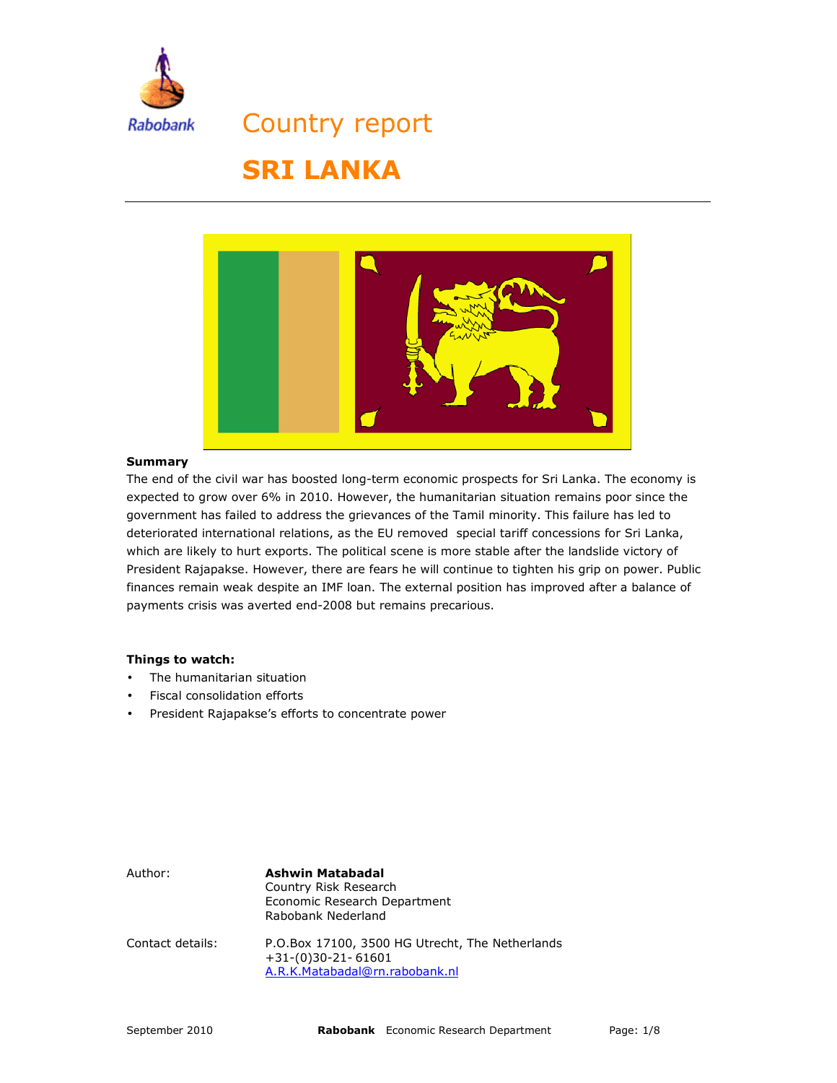

Country report

# **SRI LANKA**



#### **Summary**

The end of the civil war has boosted long-term economic prospects for Sri Lanka. The economy is expected to grow over 6% in 2010. However, the humanitarian situation remains poor since the government has failed to address the grievances of the Tamil minority. This failure has led to deteriorated international relations, as the EU removed special tariff concessions for Sri Lanka, which are likely to hurt exports. The political scene is more stable after the landslide victory of President Rajapakse. However, there are fears he will continue to tighten his grip on power. Public finances remain weak despite an IMF loan. The external position has improved after a balance of payments crisis was averted end-2008 but remains precarious.

#### **Things to watch:**

- The humanitarian situation
- Fiscal consolidation efforts
- President Rajapakse's efforts to concentrate power

Author: **Ashwin Matabadal** Country Risk Research Economic Research Department Rabobank Nederland Contact details: P.O.Box 17100, 3500 HG Utrecht, The Netherlands +31-(0)30-21- 61601 A.R.K.Matabadal@rn.rabobank.nl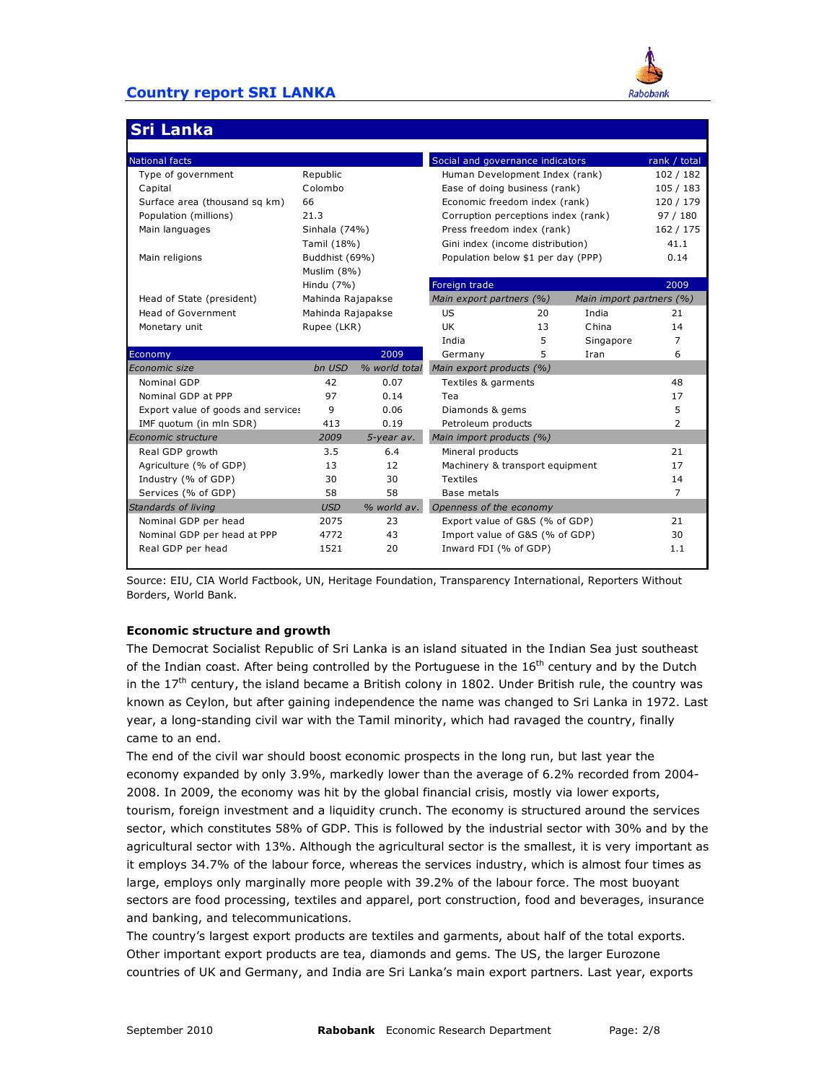

## **Sri Lanka**

| <b>National facts</b>              |                   |               | Social and governance indicators    |                          |           | rank / total |
|------------------------------------|-------------------|---------------|-------------------------------------|--------------------------|-----------|--------------|
| Type of government                 | Republic          |               | Human Development Index (rank)      | 102 / 182                |           |              |
| Capital                            | Colombo           |               | Ease of doing business (rank)       | 105 / 183                |           |              |
| Surface area (thousand sq km)      | 66                |               | Economic freedom index (rank)       | 120 / 179                |           |              |
| Population (millions)              | 21.3              |               | Corruption perceptions index (rank) | 97/180                   |           |              |
| Main languages                     | Sinhala (74%)     |               | Press freedom index (rank)          | 162 / 175                |           |              |
|                                    | Tamil (18%)       |               | Gini index (income distribution)    |                          | 41.1      |              |
| Main religions                     | Buddhist (69%)    |               | Population below \$1 per day (PPP)  | 0.14                     |           |              |
|                                    | Muslim (8%)       |               |                                     |                          |           |              |
|                                    | Hindu (7%)        |               | Foreign trade                       |                          |           | 2009         |
| Head of State (president)          | Mahinda Rajapakse |               | Main export partners (%)            | Main import partners (%) |           |              |
| Head of Government                 | Mahinda Rajapakse |               | <b>US</b>                           | 20                       | India     | 21           |
| Monetary unit                      | Rupee (LKR)       |               | UK.                                 | 13                       | China     | 14           |
|                                    |                   |               | India                               | 5                        | Singapore | 7            |
| Economy                            |                   | 2009          | Germany                             | 5.                       | Iran      | 6            |
| Economic size                      | bn USD            | % world total | Main export products (%)            |                          |           |              |
| Nominal GDP                        | 42                | 0.07          | Textiles & garments                 |                          |           | 48           |
| Nominal GDP at PPP                 | 97                | 0.14          | Tea                                 |                          |           | 17           |
| Export value of goods and services | 9                 | 0.06          | Diamonds & gems                     | 5                        |           |              |
| IMF quotum (in mln SDR)            | 413               | 0.19          | Petroleum products                  | $\overline{2}$           |           |              |
| Economic structure                 | 2009              | 5-year av.    | Main import products (%)            |                          |           |              |
| Real GDP growth                    | 3.5               | 6.4           | Mineral products                    |                          |           | 21           |
| Agriculture (% of GDP)             | 13                | 12            | Machinery & transport equipment     |                          |           | 17           |
| Industry (% of GDP)                | 30                | 30            | <b>Textiles</b>                     |                          |           | 14           |
| Services (% of GDP)                | 58                | 58            | Base metals                         |                          |           | 7            |
| Standards of living                | <b>USD</b>        | % world av.   | Openness of the economy             |                          |           |              |
| Nominal GDP per head               | 2075              | 23            | Export value of G&S (% of GDP)      | 21                       |           |              |
| Nominal GDP per head at PPP        | 4772              | 43            | Import value of G&S (% of GDP)      | 30                       |           |              |
| Real GDP per head                  | 1521              | 20            | Inward FDI (% of GDP)               |                          |           | 1.1          |
|                                    |                   |               |                                     |                          |           |              |

Source: EIU, CIA World Factbook, UN, Heritage Foundation, Transparency International, Reporters Without Borders, World Bank.

#### **Economic structure and growth**

The Democrat Socialist Republic of Sri Lanka is an island situated in the Indian Sea just southeast of the Indian coast. After being controlled by the Portuguese in the  $16<sup>th</sup>$  century and by the Dutch in the  $17<sup>th</sup>$  century, the island became a British colony in 1802. Under British rule, the country was known as Ceylon, but after gaining independence the name was changed to Sri Lanka in 1972. Last year, a long-standing civil war with the Tamil minority, which had ravaged the country, finally came to an end.

The end of the civil war should boost economic prospects in the long run, but last year the economy expanded by only 3.9%, markedly lower than the average of 6.2% recorded from 2004- 2008. In 2009, the economy was hit by the global financial crisis, mostly via lower exports, tourism, foreign investment and a liquidity crunch. The economy is structured around the services sector, which constitutes 58% of GDP. This is followed by the industrial sector with 30% and by the agricultural sector with 13%. Although the agricultural sector is the smallest, it is very important as it employs 34.7% of the labour force, whereas the services industry, which is almost four times as large, employs only marginally more people with 39.2% of the labour force. The most buoyant sectors are food processing, textiles and apparel, port construction, food and beverages, insurance and banking, and telecommunications.

The country's largest export products are textiles and garments, about half of the total exports. Other important export products are tea, diamonds and gems. The US, the larger Eurozone countries of UK and Germany, and India are Sri Lanka's main export partners. Last year, exports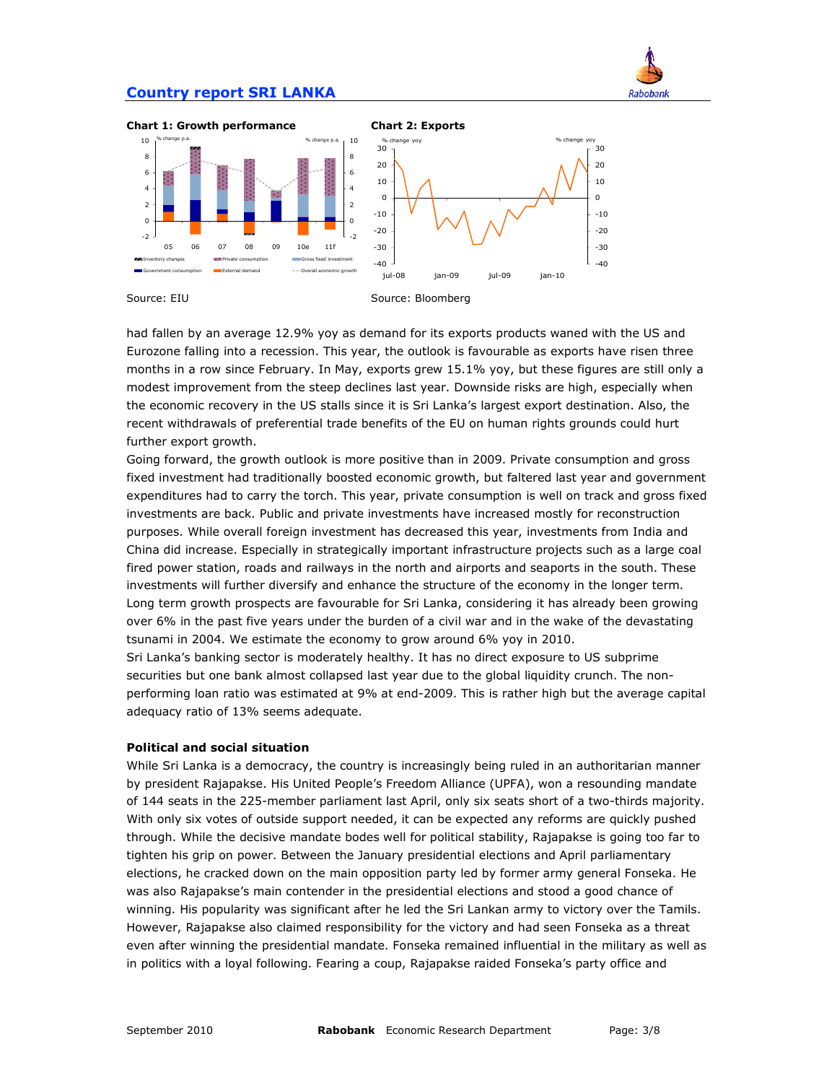

-40 -30 -20 -10 0 10 20 30



had fallen by an average 12.9% yoy as demand for its exports products waned with the US and Eurozone falling into a recession. This year, the outlook is favourable as exports have risen three months in a row since February. In May, exports grew 15.1% yoy, but these figures are still only a modest improvement from the steep declines last year. Downside risks are high, especially when the economic recovery in the US stalls since it is Sri Lanka's largest export destination. Also, the recent withdrawals of preferential trade benefits of the EU on human rights grounds could hurt further export growth.

Going forward, the growth outlook is more positive than in 2009. Private consumption and gross fixed investment had traditionally boosted economic growth, but faltered last year and government expenditures had to carry the torch. This year, private consumption is well on track and gross fixed investments are back. Public and private investments have increased mostly for reconstruction purposes. While overall foreign investment has decreased this year, investments from India and China did increase. Especially in strategically important infrastructure projects such as a large coal fired power station, roads and railways in the north and airports and seaports in the south. These investments will further diversify and enhance the structure of the economy in the longer term. Long term growth prospects are favourable for Sri Lanka, considering it has already been growing over 6% in the past five years under the burden of a civil war and in the wake of the devastating tsunami in 2004. We estimate the economy to grow around 6% yoy in 2010.

Sri Lanka's banking sector is moderately healthy. It has no direct exposure to US subprime securities but one bank almost collapsed last year due to the global liquidity crunch. The nonperforming loan ratio was estimated at 9% at end-2009. This is rather high but the average capital adequacy ratio of 13% seems adequate.

#### **Political and social situation**

While Sri Lanka is a democracy, the country is increasingly being ruled in an authoritarian manner by president Rajapakse. His United People's Freedom Alliance (UPFA), won a resounding mandate of 144 seats in the 225-member parliament last April, only six seats short of a two-thirds majority. With only six votes of outside support needed, it can be expected any reforms are quickly pushed through. While the decisive mandate bodes well for political stability, Rajapakse is going too far to tighten his grip on power. Between the January presidential elections and April parliamentary elections, he cracked down on the main opposition party led by former army general Fonseka. He was also Rajapakse's main contender in the presidential elections and stood a good chance of winning. His popularity was significant after he led the Sri Lankan army to victory over the Tamils. However, Rajapakse also claimed responsibility for the victory and had seen Fonseka as a threat even after winning the presidential mandate. Fonseka remained influential in the military as well as in politics with a loyal following. Fearing a coup, Rajapakse raided Fonseka's party office and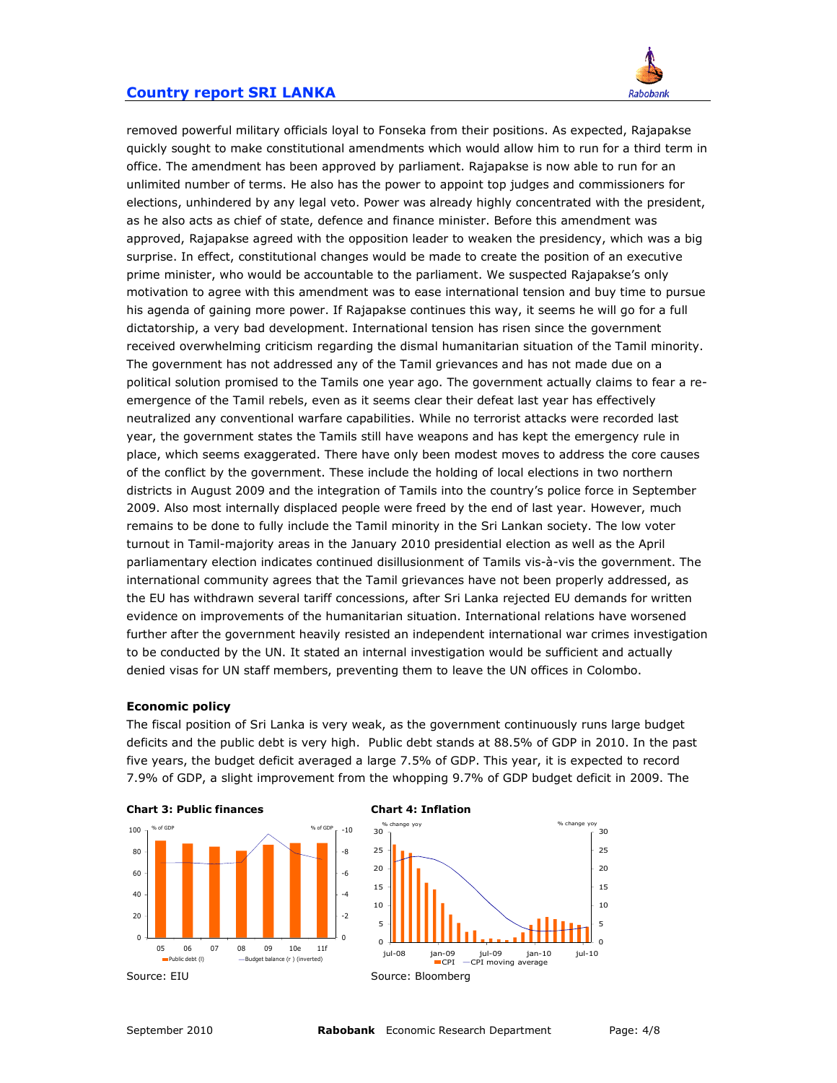

removed powerful military officials loyal to Fonseka from their positions. As expected, Rajapakse quickly sought to make constitutional amendments which would allow him to run for a third term in office. The amendment has been approved by parliament. Rajapakse is now able to run for an unlimited number of terms. He also has the power to appoint top judges and commissioners for elections, unhindered by any legal veto. Power was already highly concentrated with the president, as he also acts as chief of state, defence and finance minister. Before this amendment was approved, Rajapakse agreed with the opposition leader to weaken the presidency, which was a big surprise. In effect, constitutional changes would be made to create the position of an executive prime minister, who would be accountable to the parliament. We suspected Rajapakse's only motivation to agree with this amendment was to ease international tension and buy time to pursue his agenda of gaining more power. If Rajapakse continues this way, it seems he will go for a full dictatorship, a very bad development. International tension has risen since the government received overwhelming criticism regarding the dismal humanitarian situation of the Tamil minority. The government has not addressed any of the Tamil grievances and has not made due on a political solution promised to the Tamils one year ago. The government actually claims to fear a reemergence of the Tamil rebels, even as it seems clear their defeat last year has effectively neutralized any conventional warfare capabilities. While no terrorist attacks were recorded last year, the government states the Tamils still have weapons and has kept the emergency rule in place, which seems exaggerated. There have only been modest moves to address the core causes of the conflict by the government. These include the holding of local elections in two northern districts in August 2009 and the integration of Tamils into the country's police force in September 2009. Also most internally displaced people were freed by the end of last year. However, much remains to be done to fully include the Tamil minority in the Sri Lankan society. The low voter turnout in Tamil-majority areas in the January 2010 presidential election as well as the April parliamentary election indicates continued disillusionment of Tamils vis-à-vis the government. The international community agrees that the Tamil grievances have not been properly addressed, as the EU has withdrawn several tariff concessions, after Sri Lanka rejected EU demands for written evidence on improvements of the humanitarian situation. International relations have worsened further after the government heavily resisted an independent international war crimes investigation to be conducted by the UN. It stated an internal investigation would be sufficient and actually denied visas for UN staff members, preventing them to leave the UN offices in Colombo.

#### **Economic policy**

The fiscal position of Sri Lanka is very weak, as the government continuously runs large budget deficits and the public debt is very high. Public debt stands at 88.5% of GDP in 2010. In the past five years, the budget deficit averaged a large 7.5% of GDP. This year, it is expected to record 7.9% of GDP, a slight improvement from the whopping 9.7% of GDP budget deficit in 2009. The





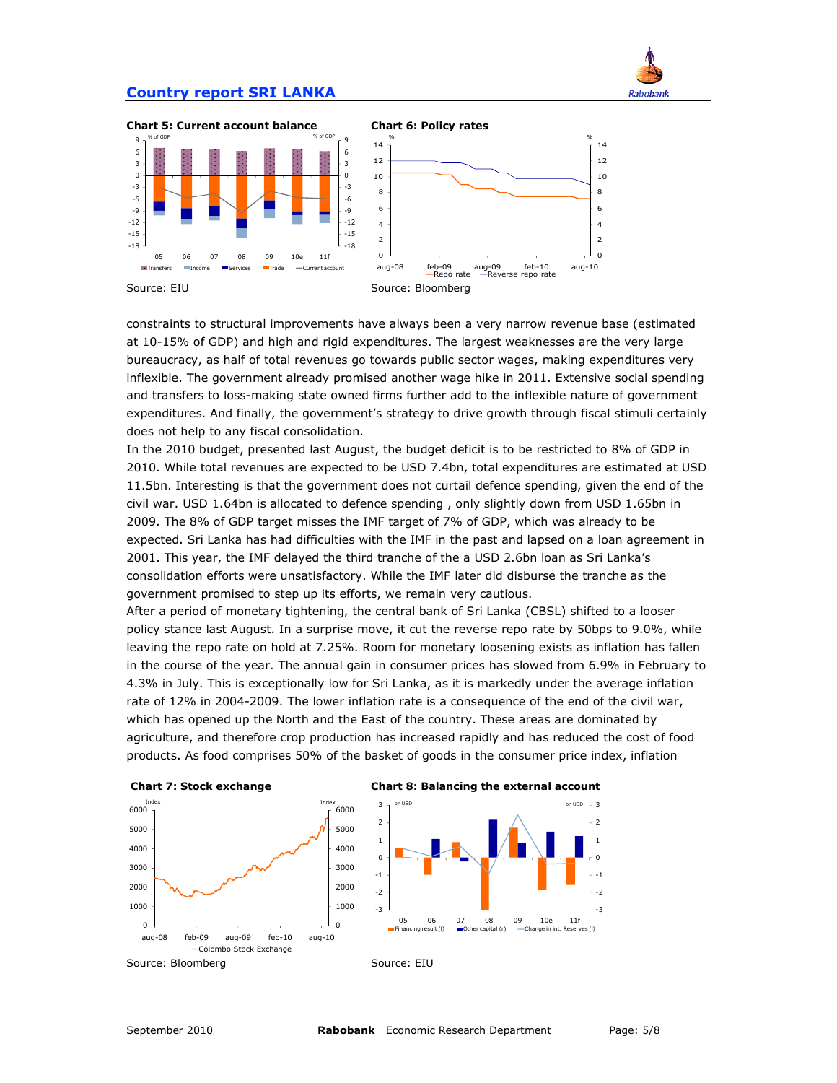



Rabobank

Source: EIU Source: Bloomberg

constraints to structural improvements have always been a very narrow revenue base (estimated at 10-15% of GDP) and high and rigid expenditures. The largest weaknesses are the very large bureaucracy, as half of total revenues go towards public sector wages, making expenditures very inflexible. The government already promised another wage hike in 2011. Extensive social spending and transfers to loss-making state owned firms further add to the inflexible nature of government expenditures. And finally, the government's strategy to drive growth through fiscal stimuli certainly does not help to any fiscal consolidation.

In the 2010 budget, presented last August, the budget deficit is to be restricted to 8% of GDP in 2010. While total revenues are expected to be USD 7.4bn, total expenditures are estimated at USD 11.5bn. Interesting is that the government does not curtail defence spending, given the end of the civil war. USD 1.64bn is allocated to defence spending , only slightly down from USD 1.65bn in 2009. The 8% of GDP target misses the IMF target of 7% of GDP, which was already to be expected. Sri Lanka has had difficulties with the IMF in the past and lapsed on a loan agreement in 2001. This year, the IMF delayed the third tranche of the a USD 2.6bn loan as Sri Lanka's consolidation efforts were unsatisfactory. While the IMF later did disburse the tranche as the government promised to step up its efforts, we remain very cautious.

After a period of monetary tightening, the central bank of Sri Lanka (CBSL) shifted to a looser policy stance last August. In a surprise move, it cut the reverse repo rate by 50bps to 9.0%, while leaving the repo rate on hold at 7.25%. Room for monetary loosening exists as inflation has fallen in the course of the year. The annual gain in consumer prices has slowed from 6.9% in February to 4.3% in July. This is exceptionally low for Sri Lanka, as it is markedly under the average inflation rate of 12% in 2004-2009. The lower inflation rate is a consequence of the end of the civil war, which has opened up the North and the East of the country. These areas are dominated by agriculture, and therefore crop production has increased rapidly and has reduced the cost of food products. As food comprises 50% of the basket of goods in the consumer price index, inflation

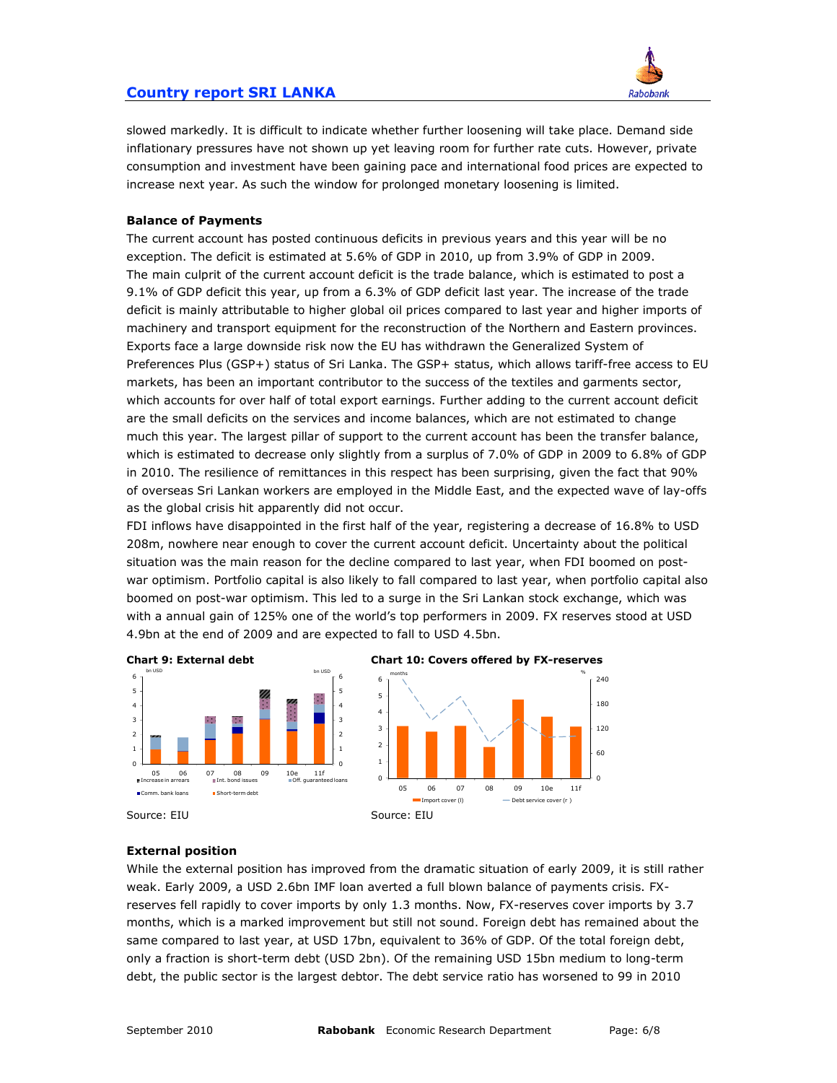

slowed markedly. It is difficult to indicate whether further loosening will take place. Demand side inflationary pressures have not shown up yet leaving room for further rate cuts. However, private consumption and investment have been gaining pace and international food prices are expected to increase next year. As such the window for prolonged monetary loosening is limited.

#### **Balance of Payments**

The current account has posted continuous deficits in previous years and this year will be no exception. The deficit is estimated at 5.6% of GDP in 2010, up from 3.9% of GDP in 2009. The main culprit of the current account deficit is the trade balance, which is estimated to post a 9.1% of GDP deficit this year, up from a 6.3% of GDP deficit last year. The increase of the trade deficit is mainly attributable to higher global oil prices compared to last year and higher imports of machinery and transport equipment for the reconstruction of the Northern and Eastern provinces. Exports face a large downside risk now the EU has withdrawn the Generalized System of Preferences Plus (GSP+) status of Sri Lanka. The GSP+ status, which allows tariff-free access to EU markets, has been an important contributor to the success of the textiles and garments sector, which accounts for over half of total export earnings. Further adding to the current account deficit are the small deficits on the services and income balances, which are not estimated to change much this year. The largest pillar of support to the current account has been the transfer balance, which is estimated to decrease only slightly from a surplus of 7.0% of GDP in 2009 to 6.8% of GDP in 2010. The resilience of remittances in this respect has been surprising, given the fact that 90% of overseas Sri Lankan workers are employed in the Middle East, and the expected wave of lay-offs as the global crisis hit apparently did not occur.

FDI inflows have disappointed in the first half of the year, registering a decrease of 16.8% to USD 208m, nowhere near enough to cover the current account deficit. Uncertainty about the political situation was the main reason for the decline compared to last year, when FDI boomed on postwar optimism. Portfolio capital is also likely to fall compared to last year, when portfolio capital also boomed on post-war optimism. This led to a surge in the Sri Lankan stock exchange, which was with a annual gain of 125% one of the world's top performers in 2009. FX reserves stood at USD 4.9bn at the end of 2009 and are expected to fall to USD 4.5bn.



#### **External position**

While the external position has improved from the dramatic situation of early 2009, it is still rather weak. Early 2009, a USD 2.6bn IMF loan averted a full blown balance of payments crisis. FXreserves fell rapidly to cover imports by only 1.3 months. Now, FX-reserves cover imports by 3.7 months, which is a marked improvement but still not sound. Foreign debt has remained about the same compared to last year, at USD 17bn, equivalent to 36% of GDP. Of the total foreign debt, only a fraction is short-term debt (USD 2bn). Of the remaining USD 15bn medium to long-term debt, the public sector is the largest debtor. The debt service ratio has worsened to 99 in 2010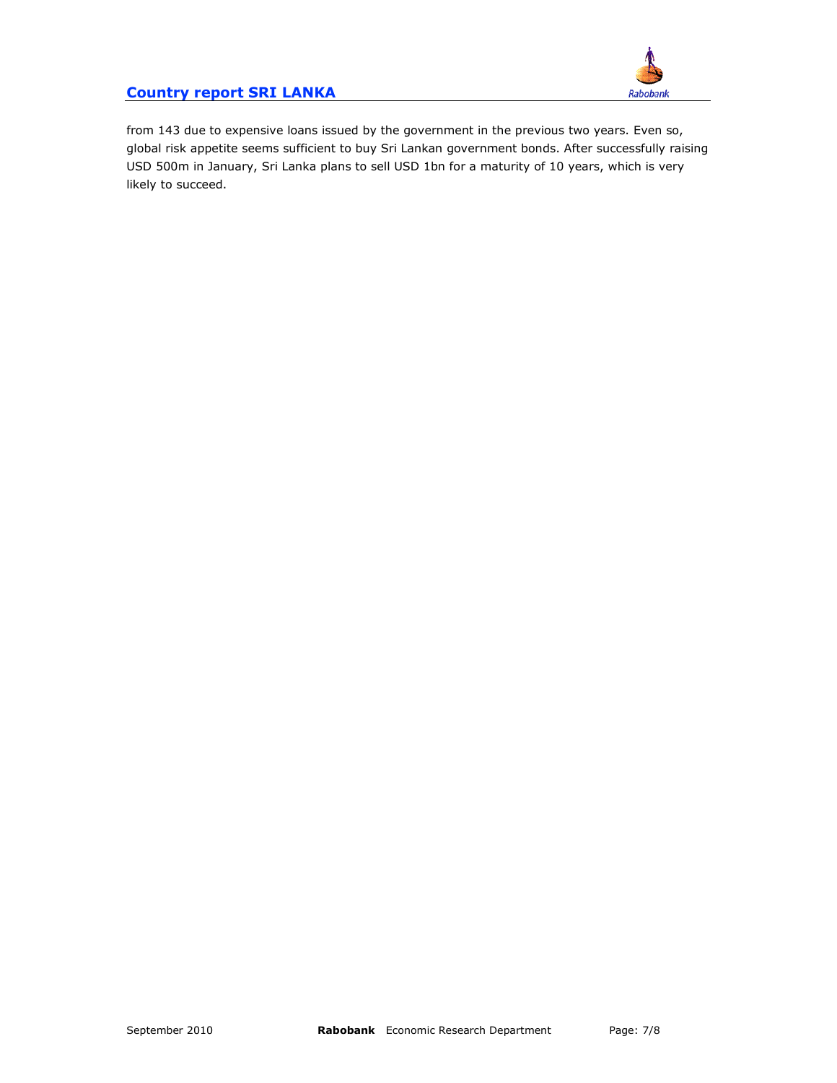

from 143 due to expensive loans issued by the government in the previous two years. Even so, global risk appetite seems sufficient to buy Sri Lankan government bonds. After successfully raising USD 500m in January, Sri Lanka plans to sell USD 1bn for a maturity of 10 years, which is very likely to succeed.